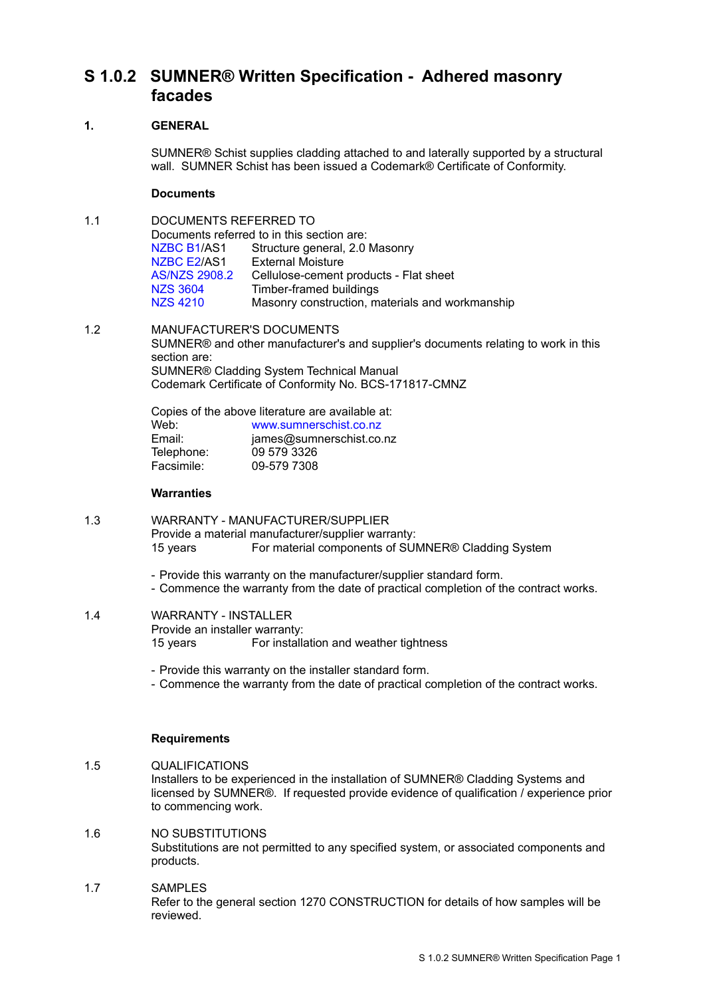# **S 1.0.2 SUMNER® Written Specification - Adhered masonry facades**

## **1. GENERAL**

SUMNER® Schist supplies cladding attached to and laterally supported by a structural wall. SUMNER Schist has been issued a Codemark® Certificate of Conformity.

## **Documents**

| 1.1 | DOCUMENTS REFERRED TO                      |                                                 |  |
|-----|--------------------------------------------|-------------------------------------------------|--|
|     | Documents referred to in this section are: |                                                 |  |
|     | NZBC B1/AS1                                | Structure general, 2.0 Masonry                  |  |
|     | NZBC E2/AS1                                | <b>External Moisture</b>                        |  |
|     | <b>AS/NZS 2908.2</b>                       | Cellulose-cement products - Flat sheet          |  |
|     | NZS 3604                                   | Timber-framed buildings                         |  |
|     | <b>NZS 4210</b>                            | Masonry construction, materials and workmanship |  |
|     |                                            |                                                 |  |

### 1.2 MANUFACTURER'S DOCUMENTS SUMNER® and other manufacturer's and supplier's documents relating to work in this section are: SUMNER® Cladding System Technical Manual

Codemark Certificate of Conformity No. BCS-171817-CMNZ

| Copies of the above literature are available at: |                          |  |  |  |
|--------------------------------------------------|--------------------------|--|--|--|
| Web:                                             | www.sumnerschist.co.nz   |  |  |  |
| Email:                                           | james@sumnerschist.co.nz |  |  |  |
| Telephone:                                       | 09 579 3326              |  |  |  |
| Facsimile:                                       | 09-579 7308              |  |  |  |

## **Warranties**

- 1.3 WARRANTY MANUFACTURER/SUPPLIER Provide a material manufacturer/supplier warranty: 15 years For material components of SUMNER® Cladding System
	- Provide this warranty on the manufacturer/supplier standard form.
	- Commence the warranty from the date of practical completion of the contract works.
- 1.4 WARRANTY INSTALLER Provide an installer warranty: 15 years For installation and weather tightness
	- Provide this warranty on the installer standard form.
	- Commence the warranty from the date of practical completion of the contract works.

## **Requirements**

- 1.5 QUALIFICATIONS Installers to be experienced in the installation of SUMNER® Cladding Systems and licensed by SUMNER®. If requested provide evidence of qualification / experience prior to commencing work.
- 1.6 NO SUBSTITUTIONS Substitutions are not permitted to any specified system, or associated components and products.
- 1.7 SAMPLES Refer to the general section 1270 CONSTRUCTION for details of how samples will be reviewed.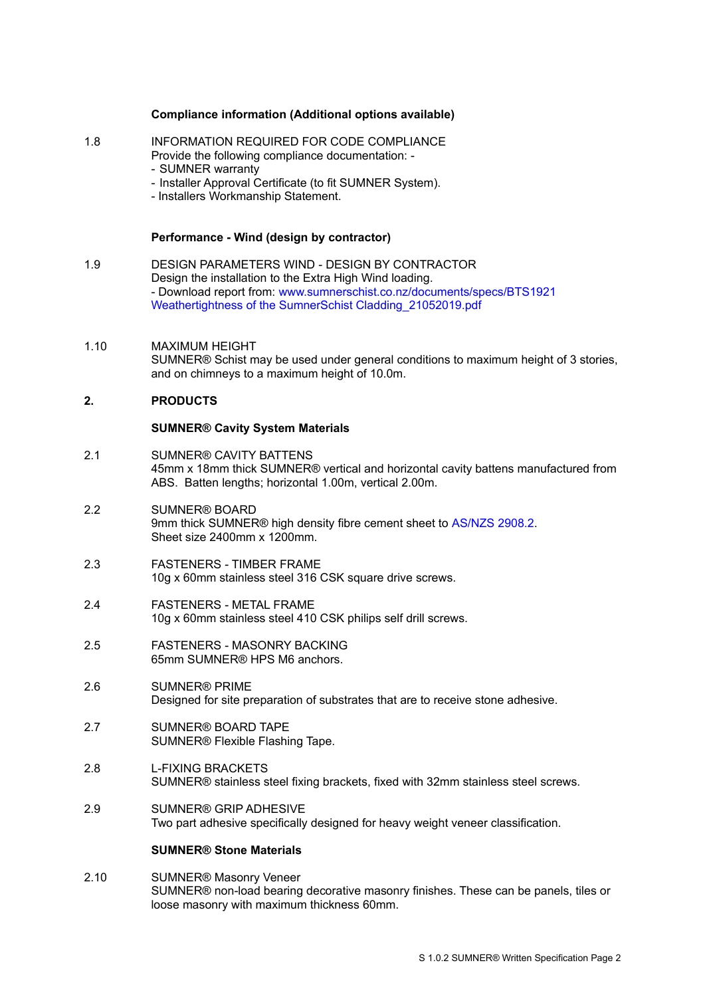## **Compliance information (Additional options available)**

- 1.8 INFORMATION REQUIRED FOR CODE COMPLIANCE
	- Provide the following compliance documentation:
		- SUMNER warranty
		- Installer Approval Certificate (to fit SUMNER System).
		- Installers Workmanship Statement.

### **Performance - Wind (design by contractor)**

- 1.9 DESIGN PARAMETERS WIND DESIGN BY CONTRACTOR Design the installation to the Extra High Wind loading. - Download report from: [www.sumnerschist.co.nz/documents/specs/BTS1921](http://www.sumnerschist.co.nz/documents/specs/BTS1921%20Weathertightness%20of%20the%20SumnerSchist%20Cladding_21052019.pdf)  [Weathertightness of the SumnerSchist Cladding\\_21052019.pdf](http://www.sumnerschist.co.nz/documents/specs/BTS1921%20Weathertightness%20of%20the%20SumnerSchist%20Cladding_21052019.pdf)
- 1.10 MAXIMUM HEIGHT SUMNER® Schist may be used under general conditions to maximum height of 3 stories, and on chimneys to a maximum height of 10.0m.

## **2. PRODUCTS**

#### **SUMNER® Cavity System Materials**

- 2.1 SUMNER® CAVITY BATTENS 45mm x 18mm thick SUMNER® vertical and horizontal cavity battens manufactured from ABS. Batten lengths; horizontal 1.00m, vertical 2.00m.
- 2.2 SUMNER® BOARD 9mm thick SUMNER<sup>®</sup> high density fibre cement sheet to [AS/NZS 2908.2.](http://www.masterspec.co.nz/redirect.aspx?pl=1059) Sheet size 2400mm x 1200mm.
- 2.3 FASTENERS TIMBER FRAME 10g x 60mm stainless steel 316 CSK square drive screws.
- 2.4 FASTENERS METAL FRAME 10g x 60mm stainless steel 410 CSK philips self drill screws.
- 2.5 FASTENERS MASONRY BACKING 65mm SUMNER® HPS M6 anchors.
- 2.6 SUMNER® PRIME Designed for site preparation of substrates that are to receive stone adhesive.
- 2.7 SUMNER® BOARD TAPE SUMNER® Flexible Flashing Tape.
- 2.8 L-FIXING BRACKETS SUMNER® stainless steel fixing brackets, fixed with 32mm stainless steel screws.
- 2.9 SUMNER® GRIP ADHESIVE Two part adhesive specifically designed for heavy weight veneer classification.

### **SUMNER® Stone Materials**

2.10 SUMNER® Masonry Veneer SUMNER® non-load bearing decorative masonry finishes. These can be panels, tiles or loose masonry with maximum thickness 60mm.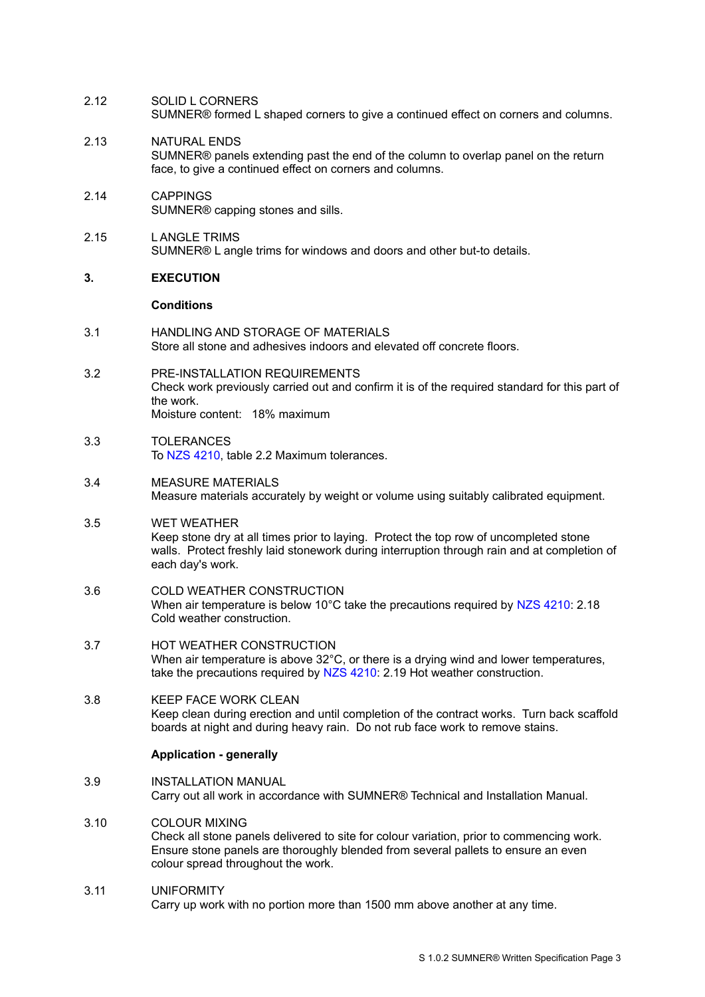- 2.12 SOLID L CORNERS SUMNER® formed L shaped corners to give a continued effect on corners and columns.
- 2.13 NATURAL ENDS SUMNER® panels extending past the end of the column to overlap panel on the return face, to give a continued effect on corners and columns.
- 2.14 CAPPINGS SUMNER® capping stones and sills.
- 2.15 L ANGLE TRIMS SUMNER® L angle trims for windows and doors and other but-to details.

### **3. EXECUTION**

## **Conditions**

- 3.1 HANDLING AND STORAGE OF MATERIALS Store all stone and adhesives indoors and elevated off concrete floors.
- 3.2 PRE-INSTALLATION REQUIREMENTS Check work previously carried out and confirm it is of the required standard for this part of the work. Moisture content: 18% maximum
- 3.3 TOLERANCES To [NZS 4210,](http://www.masterspec.co.nz/redirect.aspx?pl=314) table 2.2 Maximum tolerances.
- 3.4 MEASURE MATERIALS Measure materials accurately by weight or volume using suitably calibrated equipment.
- 3.5 WET WEATHER Keep stone dry at all times prior to laying. Protect the top row of uncompleted stone walls. Protect freshly laid stonework during interruption through rain and at completion of each day's work.
- 3.6 COLD WEATHER CONSTRUCTION When air temperature is below 10°C take the precautions required by [NZS 4210:](http://www.masterspec.co.nz/redirect.aspx?pl=314) 2.18 Cold weather construction.
- 3.7 HOT WEATHER CONSTRUCTION When air temperature is above 32°C, or there is a drying wind and lower temperatures, take the precautions required by [NZS 4210:](http://www.masterspec.co.nz/redirect.aspx?pl=314) 2.19 Hot weather construction.
- 3.8 KEEP FACE WORK CLEAN Keep clean during erection and until completion of the contract works. Turn back scaffold boards at night and during heavy rain. Do not rub face work to remove stains.

### **Application - generally**

- 3.9 INSTALLATION MANUAL Carry out all work in accordance with SUMNER® Technical and Installation Manual.
- 3.10 COLOUR MIXING Check all stone panels delivered to site for colour variation, prior to commencing work. Ensure stone panels are thoroughly blended from several pallets to ensure an even colour spread throughout the work.
- 3.11 UNIFORMITY Carry up work with no portion more than 1500 mm above another at any time.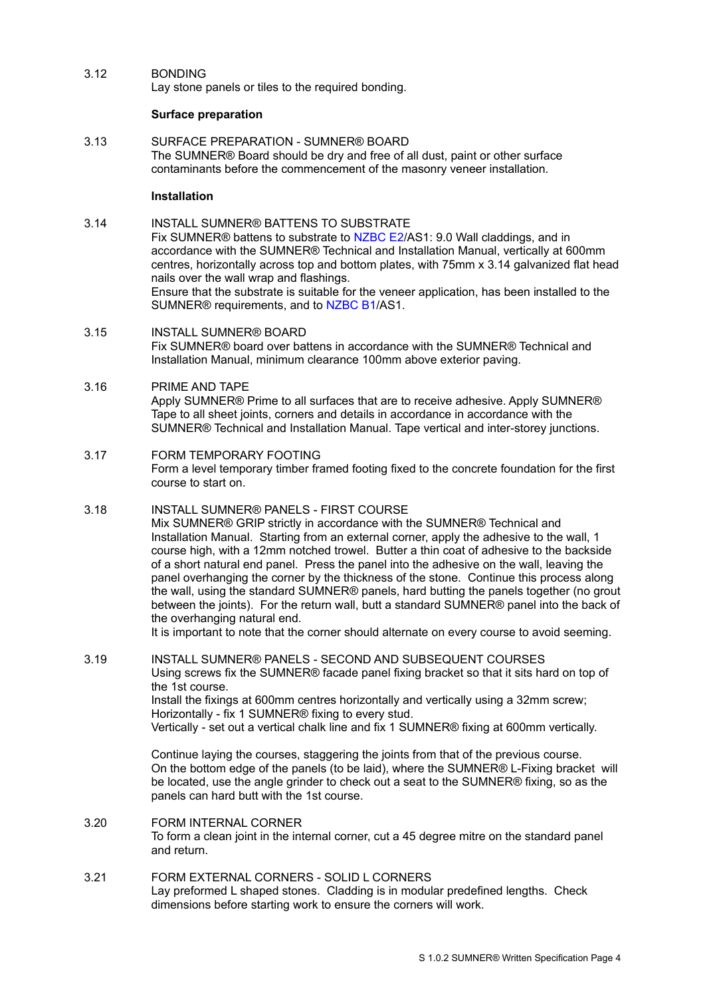## 3.12 BONDING

Lay stone panels or tiles to the required bonding.

## **Surface preparation**

3.13 SURFACE PREPARATION - SUMNER® BOARD The SUMNER® Board should be dry and free of all dust, paint or other surface contaminants before the commencement of the masonry veneer installation.

### **Installation**

- 3.14 INSTALL SUMNER® BATTENS TO SUBSTRATE Fix SUMNER® battens to substrate to [NZBC E2/](http://www.masterspec.co.nz/redirect.aspx?pl=347)AS1: 9.0 Wall claddings, and in accordance with the SUMNER® Technical and Installation Manual, vertically at 600mm centres, horizontally across top and bottom plates, with 75mm x 3.14 galvanized flat head nails over the wall wrap and flashings. Ensure that the substrate is suitable for the veneer application, has been installed to the SUMNER® requirements, and to [NZBC B1/](http://www.masterspec.co.nz/redirect.aspx?pl=222)AS1.
- 3.15 INSTALL SUMNER® BOARD Fix SUMNER® board over battens in accordance with the SUMNER® Technical and Installation Manual, minimum clearance 100mm above exterior paving.

## 3.16 PRIME AND TAPE Apply SUMNER® Prime to all surfaces that are to receive adhesive. Apply SUMNER® Tape to all sheet joints, corners and details in accordance in accordance with the SUMNER® Technical and Installation Manual. Tape vertical and inter-storey junctions.

## 3.17 FORM TEMPORARY FOOTING Form a level temporary timber framed footing fixed to the concrete foundation for the first course to start on.

## 3.18 INSTALL SUMNER® PANELS - FIRST COURSE

Mix SUMNER® GRIP strictly in accordance with the SUMNER® Technical and Installation Manual. Starting from an external corner, apply the adhesive to the wall, 1 course high, with a 12mm notched trowel. Butter a thin coat of adhesive to the backside of a short natural end panel. Press the panel into the adhesive on the wall, leaving the panel overhanging the corner by the thickness of the stone. Continue this process along the wall, using the standard SUMNER® panels, hard butting the panels together (no grout between the joints). For the return wall, butt a standard SUMNER® panel into the back of the overhanging natural end.

It is important to note that the corner should alternate on every course to avoid seeming.

## 3.19 INSTALL SUMNER® PANELS - SECOND AND SUBSEQUENT COURSES Using screws fix the SUMNER® facade panel fixing bracket so that it sits hard on top of the 1st course. Install the fixings at 600mm centres horizontally and vertically using a 32mm screw; Horizontally - fix 1 SUMNER® fixing to every stud. Vertically - set out a vertical chalk line and fix 1 SUMNER® fixing at 600mm vertically.

Continue laying the courses, staggering the joints from that of the previous course. On the bottom edge of the panels (to be laid), where the SUMNER® L-Fixing bracket will be located, use the angle grinder to check out a seat to the SUMNER® fixing, so as the panels can hard butt with the 1st course.

### 3.20 FORM INTERNAL CORNER To form a clean joint in the internal corner, cut a 45 degree mitre on the standard panel and return.

3.21 FORM EXTERNAL CORNERS - SOLID L CORNERS Lay preformed L shaped stones. Cladding is in modular predefined lengths. Check dimensions before starting work to ensure the corners will work.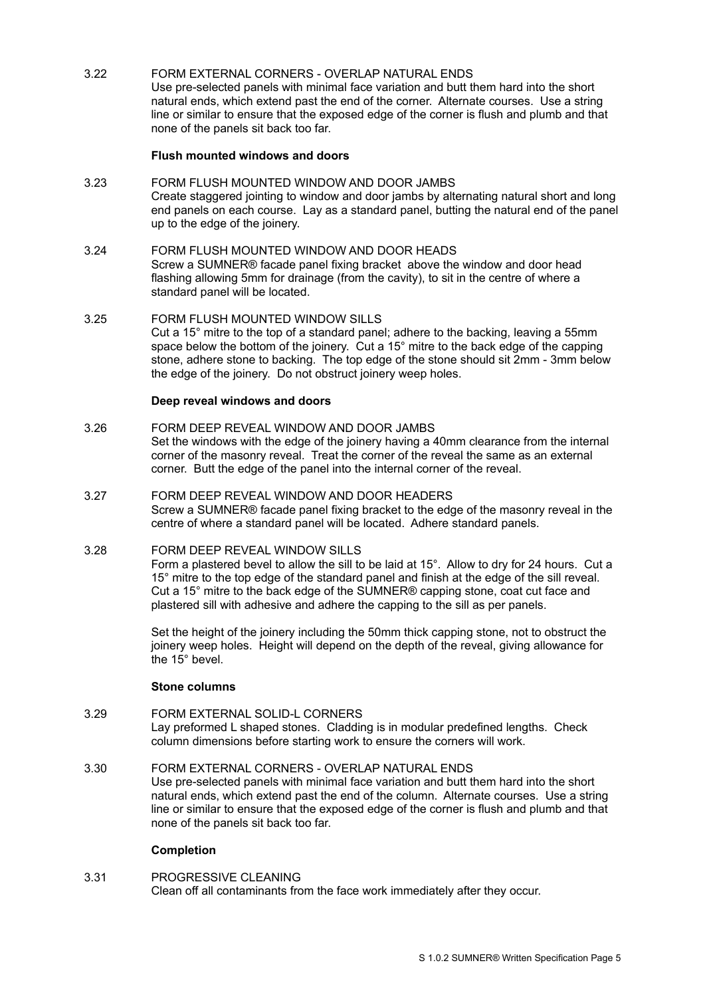## 3.22 FORM EXTERNAL CORNERS - OVERLAP NATURAL ENDS

Use pre-selected panels with minimal face variation and butt them hard into the short natural ends, which extend past the end of the corner. Alternate courses. Use a string line or similar to ensure that the exposed edge of the corner is flush and plumb and that none of the panels sit back too far.

### **Flush mounted windows and doors**

- 3.23 FORM FLUSH MOUNTED WINDOW AND DOOR JAMBS Create staggered jointing to window and door jambs by alternating natural short and long end panels on each course. Lay as a standard panel, butting the natural end of the panel up to the edge of the joinery.
- 3.24 FORM FLUSH MOUNTED WINDOW AND DOOR HEADS Screw a SUMNER® facade panel fixing bracket above the window and door head flashing allowing 5mm for drainage (from the cavity), to sit in the centre of where a standard panel will be located.
- 3.25 FORM FLUSH MOUNTED WINDOW SILLS Cut a 15° mitre to the top of a standard panel; adhere to the backing, leaving a 55mm space below the bottom of the joinery. Cut a 15° mitre to the back edge of the capping stone, adhere stone to backing. The top edge of the stone should sit 2mm - 3mm below the edge of the joinery. Do not obstruct joinery weep holes.

#### **Deep reveal windows and doors**

#### 3.26 FORM DEEP REVEAL WINDOW AND DOOR JAMBS

Set the windows with the edge of the joinery having a 40mm clearance from the internal corner of the masonry reveal. Treat the corner of the reveal the same as an external corner. Butt the edge of the panel into the internal corner of the reveal.

## 3.27 FORM DEEP REVEAL WINDOW AND DOOR HEADERS Screw a SUMNER® facade panel fixing bracket to the edge of the masonry reveal in the centre of where a standard panel will be located. Adhere standard panels.

### 3.28 FORM DEEP REVEAL WINDOW SILLS

Form a plastered bevel to allow the sill to be laid at 15°. Allow to dry for 24 hours. Cut a 15° mitre to the top edge of the standard panel and finish at the edge of the sill reveal. Cut a 15° mitre to the back edge of the SUMNER® capping stone, coat cut face and plastered sill with adhesive and adhere the capping to the sill as per panels.

Set the height of the joinery including the 50mm thick capping stone, not to obstruct the joinery weep holes. Height will depend on the depth of the reveal, giving allowance for the 15° bevel.

#### **Stone columns**

### 3.29 FORM EXTERNAL SOLID-L CORNERS Lay preformed L shaped stones. Cladding is in modular predefined lengths. Check column dimensions before starting work to ensure the corners will work.

### 3.30 FORM EXTERNAL CORNERS - OVERLAP NATURAL ENDS

Use pre-selected panels with minimal face variation and butt them hard into the short natural ends, which extend past the end of the column. Alternate courses. Use a string line or similar to ensure that the exposed edge of the corner is flush and plumb and that none of the panels sit back too far.

### **Completion**

### 3.31 PROGRESSIVE CLEANING Clean off all contaminants from the face work immediately after they occur.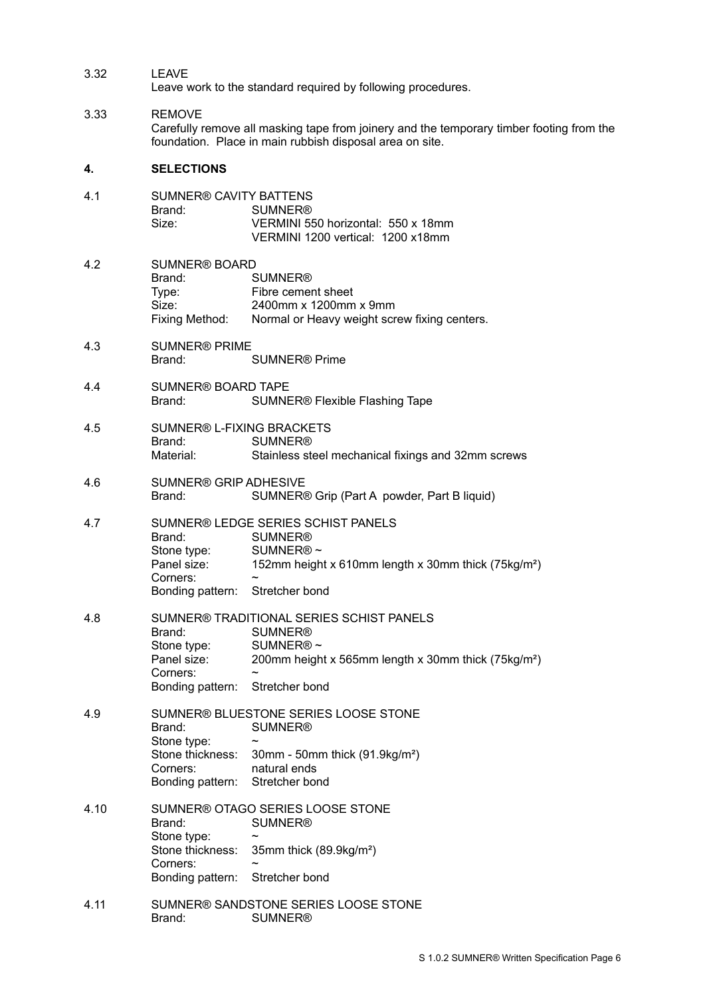| 3.32 | I FAVF |
|------|--------|
|      |        |

Leave work to the standard required by following procedures.

## 3.33 REMOVE

Carefully remove all masking tape from joinery and the temporary timber footing from the foundation. Place in main rubbish disposal area on site.

## **4. SELECTIONS**

| 4.1  | <b>SUMNER® CAVITY BATTENS</b><br>Brand:<br>Size:                                                                                | <b>SUMNER®</b><br>VERMINI 550 horizontal: 550 x 18mm<br>VERMINI 1200 vertical: 1200 x18mm                                                                                            |  |
|------|---------------------------------------------------------------------------------------------------------------------------------|--------------------------------------------------------------------------------------------------------------------------------------------------------------------------------------|--|
| 4.2  | <b>SUMNER® BOARD</b><br>Brand:<br>Type:<br>Size:<br>Fixing Method:                                                              | <b>SUMNER®</b><br>Fibre cement sheet<br>2400mm x 1200mm x 9mm<br>Normal or Heavy weight screw fixing centers.                                                                        |  |
| 4.3  | <b>SUMNER® PRIME</b><br><b>SUMNER® Prime</b><br>Brand:                                                                          |                                                                                                                                                                                      |  |
| 4.4  | <b>SUMNER® BOARD TAPE</b><br>Brand:<br><b>SUMNER® Flexible Flashing Tape</b>                                                    |                                                                                                                                                                                      |  |
| 4.5  | <b>SUMNER® L-FIXING BRACKETS</b><br>Brand:<br><b>SUMNER®</b><br>Material:<br>Stainless steel mechanical fixings and 32mm screws |                                                                                                                                                                                      |  |
| 4.6  | <b>SUMNER® GRIP ADHESIVE</b><br>Brand:<br>SUMNER® Grip (Part A powder, Part B liquid)                                           |                                                                                                                                                                                      |  |
| 4.7  | Brand:<br>Stone type:<br>Panel size:<br>Corners:<br>Bonding pattern: Stretcher bond                                             | SUMNER® LEDGE SERIES SCHIST PANELS<br><b>SUMNER®</b><br>SUMNER®~<br>152mm height x 610mm length x 30mm thick (75kg/m <sup>2</sup> )                                                  |  |
| 4.8  | Brand:<br>Stone type:<br>Panel size:<br>Corners:<br>Bonding pattern:                                                            | SUMNER® TRADITIONAL SERIES SCHIST PANELS<br><b>SUMNER®</b><br>SUMNER®~<br>200mm height x 565mm length x 30mm thick (75kg/m <sup>2</sup> )<br>$\tilde{\phantom{a}}$<br>Stretcher bond |  |
| 4.9  | Brand:<br>Stone type:<br>Stone thickness:<br>Corners:<br>Bonding pattern:                                                       | SUMNER® BLUESTONE SERIES LOOSE STONE<br><b>SUMNER®</b><br>30mm - 50mm thick $(91.9kg/m2)$<br>natural ends<br>Stretcher bond                                                          |  |
| 4.10 | Brand:<br>Stone type:<br>Stone thickness:<br>Corners:<br>Bonding pattern:                                                       | SUMNER® OTAGO SERIES LOOSE STONE<br><b>SUMNER®</b><br>35mm thick (89.9kg/m <sup>2</sup> )<br>Stretcher bond                                                                          |  |
| 4.11 | Brand:                                                                                                                          | SUMNER® SANDSTONE SERIES LOOSE STONE<br><b>SUMNER®</b>                                                                                                                               |  |